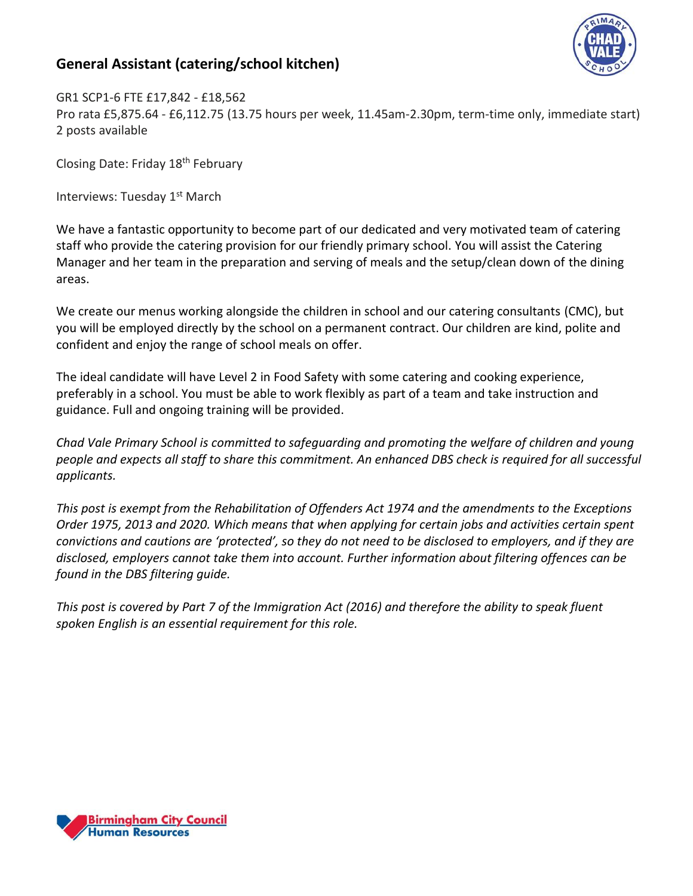## **General Assistant (catering/school kitchen)**



GR1 SCP1-6 FTE £17,842 - £18,562 Pro rata £5,875.64 - £6,112.75 (13.75 hours per week, 11.45am-2.30pm, term-time only, immediate start) 2 posts available

Closing Date: Friday 18th February

Interviews: Tuesday 1<sup>st</sup> March

We have a fantastic opportunity to become part of our dedicated and very motivated team of catering staff who provide the catering provision for our friendly primary school. You will assist the Catering Manager and her team in the preparation and serving of meals and the setup/clean down of the dining areas.

We create our menus working alongside the children in school and our catering consultants (CMC), but you will be employed directly by the school on a permanent contract. Our children are kind, polite and confident and enjoy the range of school meals on offer.

The ideal candidate will have Level 2 in Food Safety with some catering and cooking experience, preferably in a school. You must be able to work flexibly as part of a team and take instruction and guidance. Full and ongoing training will be provided.

*Chad Vale Primary School is committed to safeguarding and promoting the welfare of children and young people and expects all staff to share this commitment. An enhanced DBS check is required for all successful applicants.*

*This post is exempt from the Rehabilitation of Offenders Act 1974 and the amendments to the Exceptions Order 1975, 2013 and 2020. Which means that when applying for certain jobs and activities certain spent convictions and cautions are 'protected', so they do not need to be disclosed to employers, and if they are disclosed, employers cannot take them into account. Further information about filtering offences can be found in the DBS filtering guide.*

*This post is covered by Part 7 of the Immigration Act (2016) and therefore the ability to speak fluent spoken English is an essential requirement for this role.*

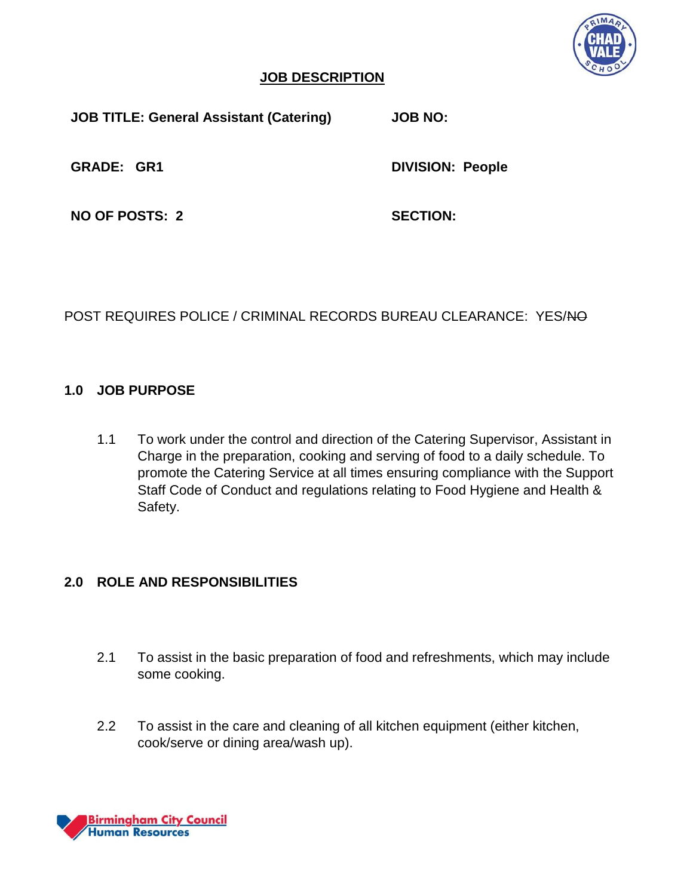

#### **JOB DESCRIPTION**

**JOB TITLE: General Assistant (Catering) JOB NO:**

**GRADE: GR1 DIVISION: People**

**NO OF POSTS: 2 SECTION:** 

POST REQUIRES POLICE / CRIMINAL RECORDS BUREAU CLEARANCE: YES/NO

### **1.0 JOB PURPOSE**

1.1 To work under the control and direction of the Catering Supervisor, Assistant in Charge in the preparation, cooking and serving of food to a daily schedule. To promote the Catering Service at all times ensuring compliance with the Support Staff Code of Conduct and regulations relating to Food Hygiene and Health & Safety.

## **2.0 ROLE AND RESPONSIBILITIES**

- 2.1 To assist in the basic preparation of food and refreshments, which may include some cooking.
- 2.2 To assist in the care and cleaning of all kitchen equipment (either kitchen, cook/serve or dining area/wash up).

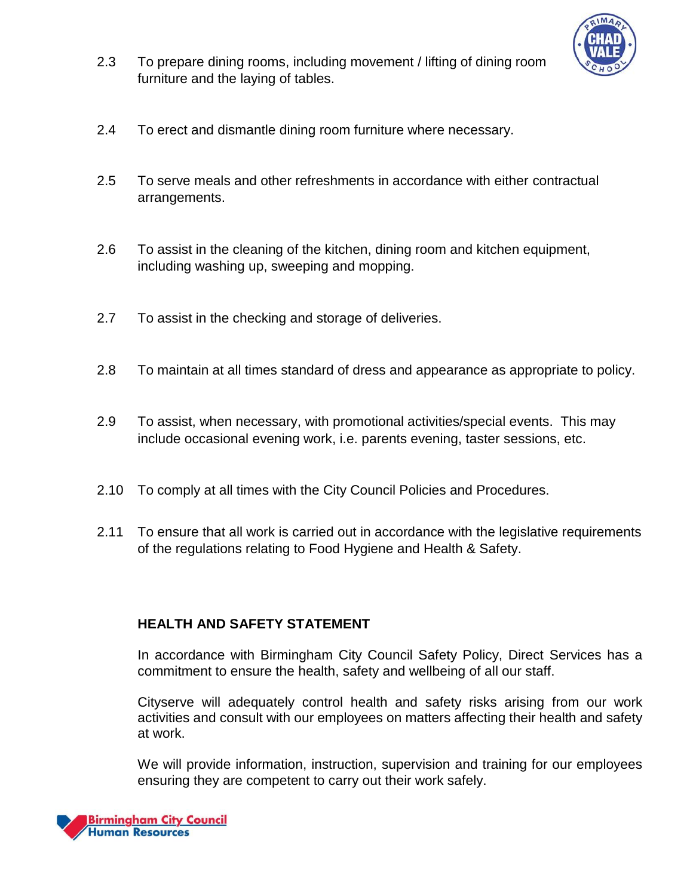

- 2.3 To prepare dining rooms, including movement / lifting of dining room furniture and the laying of tables.
- 2.4 To erect and dismantle dining room furniture where necessary.
- 2.5 To serve meals and other refreshments in accordance with either contractual arrangements.
- 2.6 To assist in the cleaning of the kitchen, dining room and kitchen equipment, including washing up, sweeping and mopping.
- 2.7 To assist in the checking and storage of deliveries.
- 2.8 To maintain at all times standard of dress and appearance as appropriate to policy.
- 2.9 To assist, when necessary, with promotional activities/special events. This may include occasional evening work, i.e. parents evening, taster sessions, etc.
- 2.10 To comply at all times with the City Council Policies and Procedures.
- 2.11 To ensure that all work is carried out in accordance with the legislative requirements of the regulations relating to Food Hygiene and Health & Safety.

#### **HEALTH AND SAFETY STATEMENT**

In accordance with Birmingham City Council Safety Policy, Direct Services has a commitment to ensure the health, safety and wellbeing of all our staff.

Cityserve will adequately control health and safety risks arising from our work activities and consult with our employees on matters affecting their health and safety at work.

We will provide information, instruction, supervision and training for our employees ensuring they are competent to carry out their work safely.

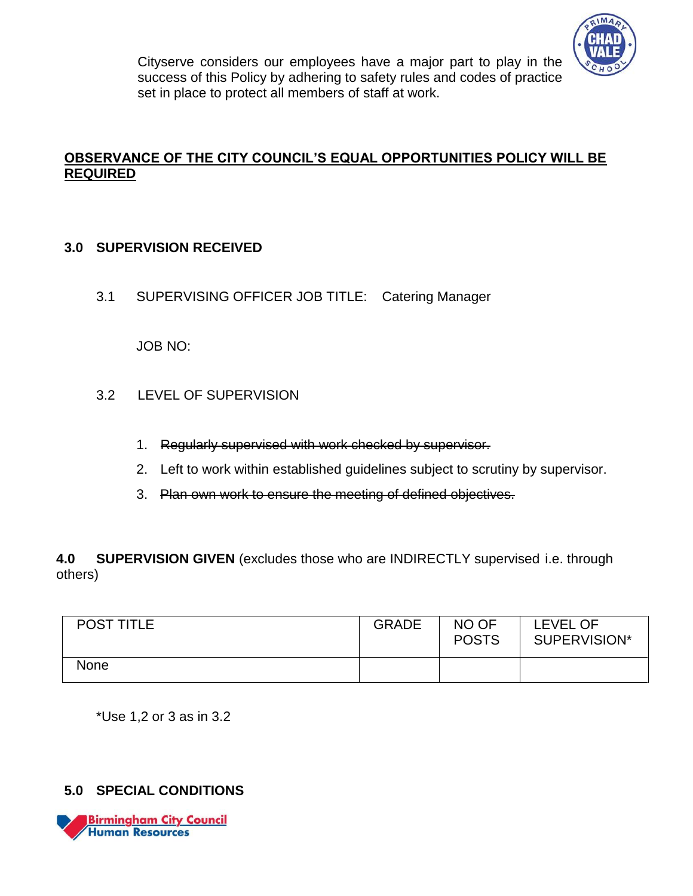

Cityserve considers our employees have a major part to play in the success of this Policy by adhering to safety rules and codes of practice set in place to protect all members of staff at work.

## **OBSERVANCE OF THE CITY COUNCIL'S EQUAL OPPORTUNITIES POLICY WILL BE REQUIRED**

#### **3.0 SUPERVISION RECEIVED**

3.1 SUPERVISING OFFICER JOB TITLE: Catering Manager

JOB NO:

- 3.2 LEVEL OF SUPERVISION
	- 1. Regularly supervised with work checked by supervisor.
	- 2. Left to work within established guidelines subject to scrutiny by supervisor.
	- 3. Plan own work to ensure the meeting of defined objectives.

**4.0 SUPERVISION GIVEN** (excludes those who are INDIRECTLY supervised i.e. through others)

| <b>POST TITLE</b> | <b>GRADE</b> | NO OF<br><b>POSTS</b> | LEVEL OF<br>SUPERVISION* |
|-------------------|--------------|-----------------------|--------------------------|
| None              |              |                       |                          |

\*Use 1,2 or 3 as in 3.2

## **5.0 SPECIAL CONDITIONS**

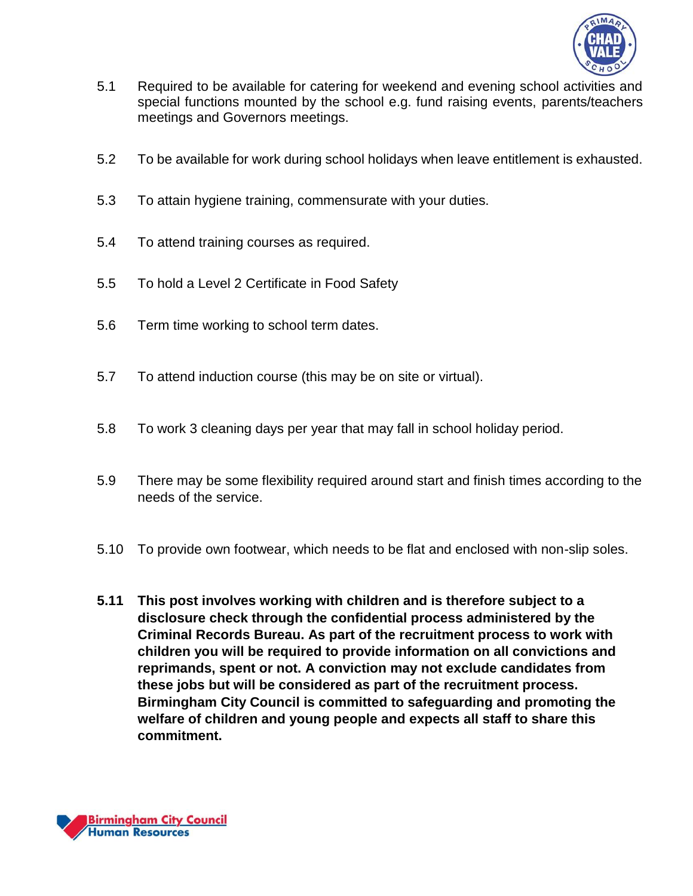

- 5.1 Required to be available for catering for weekend and evening school activities and special functions mounted by the school e.g. fund raising events, parents/teachers meetings and Governors meetings.
- 5.2 To be available for work during school holidays when leave entitlement is exhausted.
- 5.3 To attain hygiene training, commensurate with your duties.
- 5.4 To attend training courses as required.
- 5.5 To hold a Level 2 Certificate in Food Safety
- 5.6 Term time working to school term dates.
- 5.7 To attend induction course (this may be on site or virtual).
- 5.8 To work 3 cleaning days per year that may fall in school holiday period.
- 5.9 There may be some flexibility required around start and finish times according to the needs of the service.
- 5.10 To provide own footwear, which needs to be flat and enclosed with non-slip soles.
- **5.11 This post involves working with children and is therefore subject to a disclosure check through the confidential process administered by the Criminal Records Bureau. As part of the recruitment process to work with children you will be required to provide information on all convictions and reprimands, spent or not. A conviction may not exclude candidates from these jobs but will be considered as part of the recruitment process. Birmingham City Council is committed to safeguarding and promoting the welfare of children and young people and expects all staff to share this commitment.**

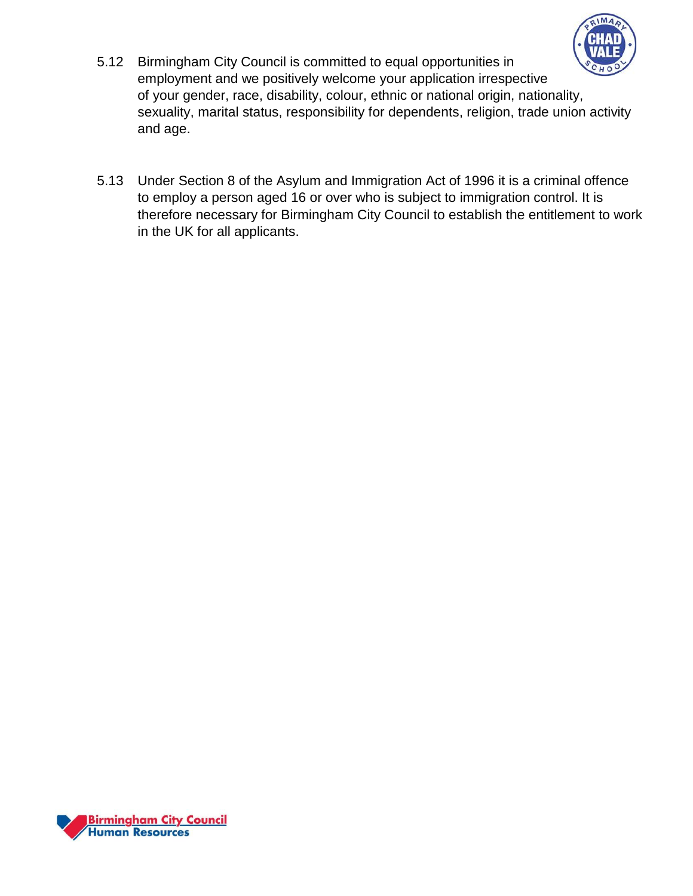

- 5.12 Birmingham City Council is committed to equal opportunities in employment and we positively welcome your application irrespective of your gender, race, disability, colour, ethnic or national origin, nationality, sexuality, marital status, responsibility for dependents, religion, trade union activity and age.
- 5.13 Under Section 8 of the Asylum and Immigration Act of 1996 it is a criminal offence to employ a person aged 16 or over who is subject to immigration control. It is therefore necessary for Birmingham City Council to establish the entitlement to work in the UK for all applicants.

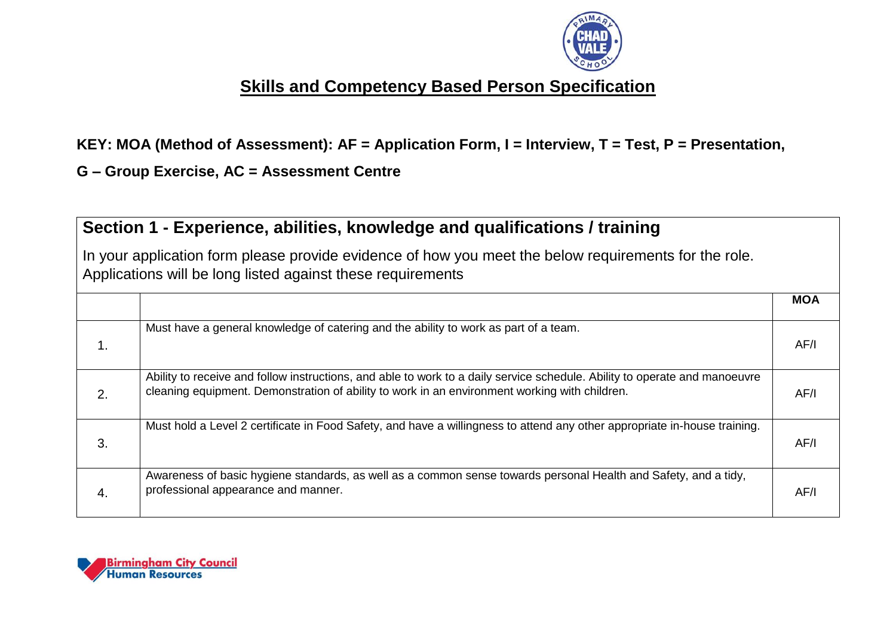

# **Skills and Competency Based Person Specification**

**KEY: MOA (Method of Assessment): AF = Application Form, I = Interview, T = Test, P = Presentation,** 

**G – Group Exercise, AC = Assessment Centre**

# **Section 1 - Experience, abilities, knowledge and qualifications / training**

In your application form please provide evidence of how you meet the below requirements for the role. Applications will be long listed against these requirements

|    |                                                                                                                                                                                                                             | <b>MOA</b> |
|----|-----------------------------------------------------------------------------------------------------------------------------------------------------------------------------------------------------------------------------|------------|
|    |                                                                                                                                                                                                                             |            |
|    | Must have a general knowledge of catering and the ability to work as part of a team.                                                                                                                                        | AF/I       |
| 2. | Ability to receive and follow instructions, and able to work to a daily service schedule. Ability to operate and manoeuvre<br>cleaning equipment. Demonstration of ability to work in an environment working with children. | AF/I       |
| 3. | Must hold a Level 2 certificate in Food Safety, and have a willingness to attend any other appropriate in-house training.                                                                                                   | AF/I       |
| 4. | Awareness of basic hygiene standards, as well as a common sense towards personal Health and Safety, and a tidy,<br>professional appearance and manner.                                                                      | AF/I       |

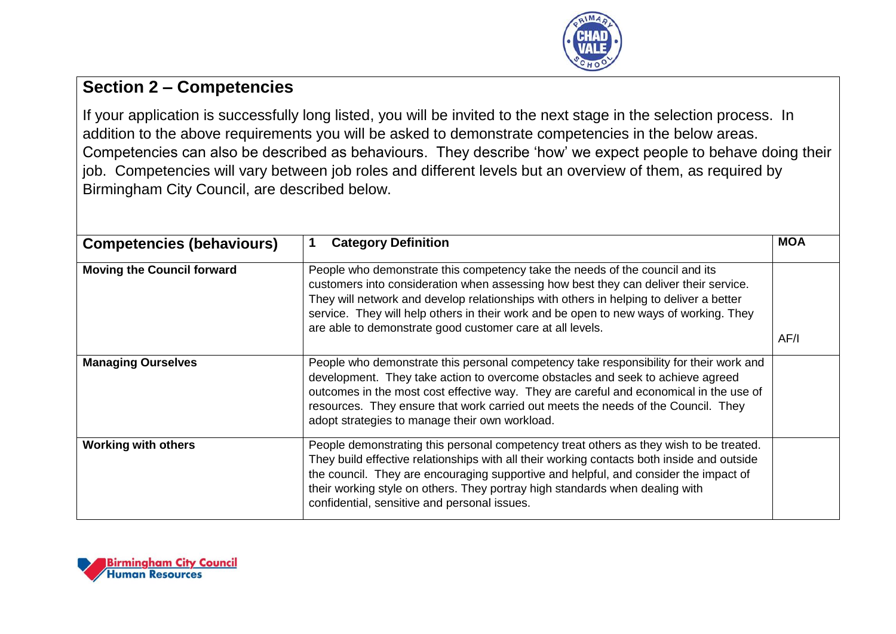

## **Section 2 – Competencies**

If your application is successfully long listed, you will be invited to the next stage in the selection process. In addition to the above requirements you will be asked to demonstrate competencies in the below areas. Competencies can also be described as behaviours. They describe 'how' we expect people to behave doing their job. Competencies will vary between job roles and different levels but an overview of them, as required by Birmingham City Council, are described below.

| <b>Competencies (behaviours)</b>  | <b>Category Definition</b>                                                                                                                                                                                                                                                                                                                                                                                           | <b>MOA</b> |
|-----------------------------------|----------------------------------------------------------------------------------------------------------------------------------------------------------------------------------------------------------------------------------------------------------------------------------------------------------------------------------------------------------------------------------------------------------------------|------------|
| <b>Moving the Council forward</b> | People who demonstrate this competency take the needs of the council and its<br>customers into consideration when assessing how best they can deliver their service.<br>They will network and develop relationships with others in helping to deliver a better<br>service. They will help others in their work and be open to new ways of working. They<br>are able to demonstrate good customer care at all levels. | AF/I       |
| <b>Managing Ourselves</b>         | People who demonstrate this personal competency take responsibility for their work and<br>development. They take action to overcome obstacles and seek to achieve agreed<br>outcomes in the most cost effective way. They are careful and economical in the use of<br>resources. They ensure that work carried out meets the needs of the Council. They<br>adopt strategies to manage their own workload.            |            |
| <b>Working with others</b>        | People demonstrating this personal competency treat others as they wish to be treated.<br>They build effective relationships with all their working contacts both inside and outside<br>the council. They are encouraging supportive and helpful, and consider the impact of<br>their working style on others. They portray high standards when dealing with<br>confidential, sensitive and personal issues.         |            |